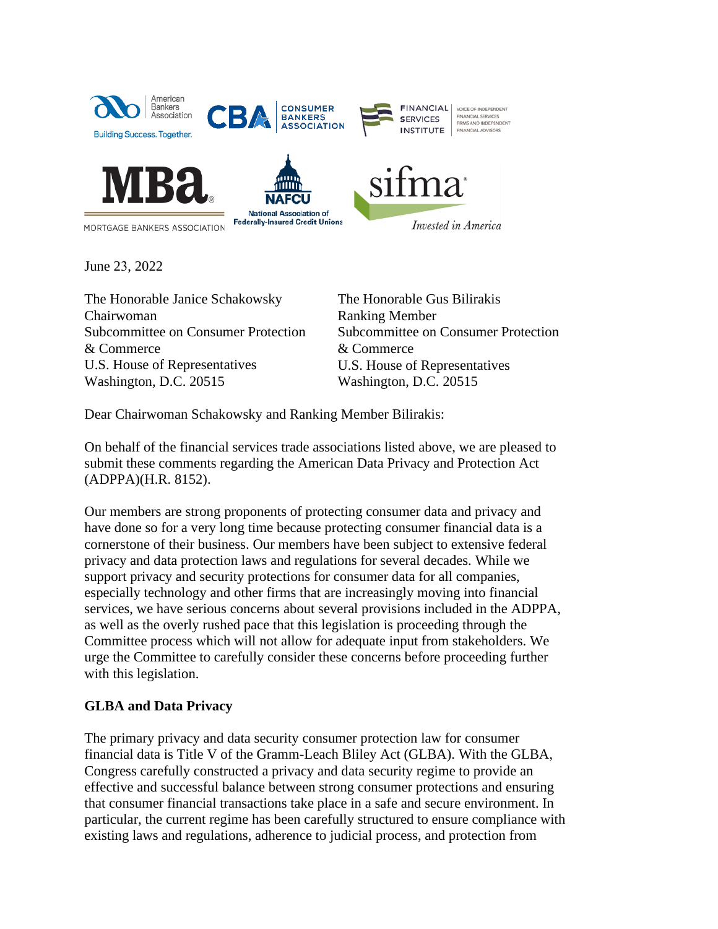

June 23, 2022

The Honorable Janice Schakowsky Chairwoman Subcommittee on Consumer Protection & Commerce U.S. House of Representatives Washington, D.C. 20515 Washington, D.C. 20515

The Honorable Gus Bilirakis Ranking Member Subcommittee on Consumer Protection & Commerce U.S. House of Representatives

Dear Chairwoman Schakowsky and Ranking Member Bilirakis:

On behalf of the financial services trade associations listed above, we are pleased to submit these comments regarding the American Data Privacy and Protection Act (ADPPA)(H.R. 8152).

Our members are strong proponents of protecting consumer data and privacy and have done so for a very long time because protecting consumer financial data is a cornerstone of their business. Our members have been subject to extensive federal privacy and data protection laws and regulations for several decades. While we support privacy and security protections for consumer data for all companies, especially technology and other firms that are increasingly moving into financial services, we have serious concerns about several provisions included in the ADPPA, as well as the overly rushed pace that this legislation is proceeding through the Committee process which will not allow for adequate input from stakeholders. We urge the Committee to carefully consider these concerns before proceeding further with this legislation.

## **GLBA and Data Privacy**

The primary privacy and data security consumer protection law for consumer financial data is Title V of the Gramm-Leach Bliley Act (GLBA). With the GLBA, Congress carefully constructed a privacy and data security regime to provide an effective and successful balance between strong consumer protections and ensuring that consumer financial transactions take place in a safe and secure environment. In particular, the current regime has been carefully structured to ensure compliance with existing laws and regulations, adherence to judicial process, and protection from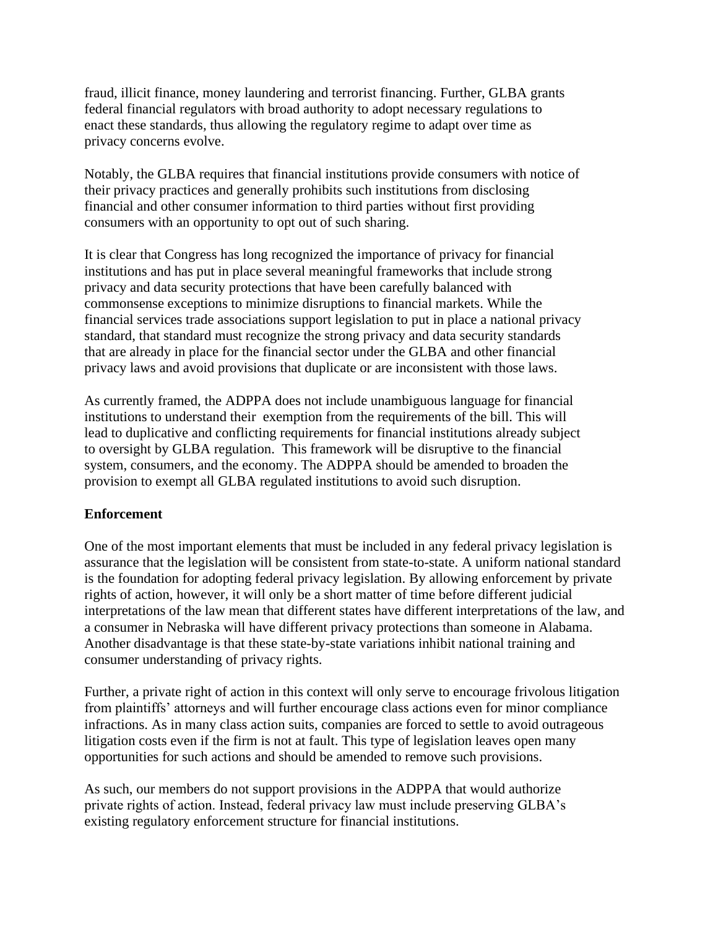fraud, illicit finance, money laundering and terrorist financing. Further, GLBA grants federal financial regulators with broad authority to adopt necessary regulations to enact these standards, thus allowing the regulatory regime to adapt over time as privacy concerns evolve.

Notably, the GLBA requires that financial institutions provide consumers with notice of their privacy practices and generally prohibits such institutions from disclosing financial and other consumer information to third parties without first providing consumers with an opportunity to opt out of such sharing.

It is clear that Congress has long recognized the importance of privacy for financial institutions and has put in place several meaningful frameworks that include strong privacy and data security protections that have been carefully balanced with commonsense exceptions to minimize disruptions to financial markets. While the financial services trade associations support legislation to put in place a national privacy standard, that standard must recognize the strong privacy and data security standards that are already in place for the financial sector under the GLBA and other financial privacy laws and avoid provisions that duplicate or are inconsistent with those laws.

As currently framed, the ADPPA does not include unambiguous language for financial institutions to understand their exemption from the requirements of the bill. This will lead to duplicative and conflicting requirements for financial institutions already subject to oversight by GLBA regulation. This framework will be disruptive to the financial system, consumers, and the economy. The ADPPA should be amended to broaden the provision to exempt all GLBA regulated institutions to avoid such disruption.

## **Enforcement**

One of the most important elements that must be included in any federal privacy legislation is assurance that the legislation will be consistent from state-to-state. A uniform national standard is the foundation for adopting federal privacy legislation. By allowing enforcement by private rights of action, however, it will only be a short matter of time before different judicial interpretations of the law mean that different states have different interpretations of the law, and a consumer in Nebraska will have different privacy protections than someone in Alabama. Another disadvantage is that these state-by-state variations inhibit national training and consumer understanding of privacy rights.

Further, a private right of action in this context will only serve to encourage frivolous litigation from plaintiffs' attorneys and will further encourage class actions even for minor compliance infractions. As in many class action suits, companies are forced to settle to avoid outrageous litigation costs even if the firm is not at fault. This type of legislation leaves open many opportunities for such actions and should be amended to remove such provisions.

As such, our members do not support provisions in the ADPPA that would authorize private rights of action. Instead, federal privacy law must include preserving GLBA's existing regulatory enforcement structure for financial institutions.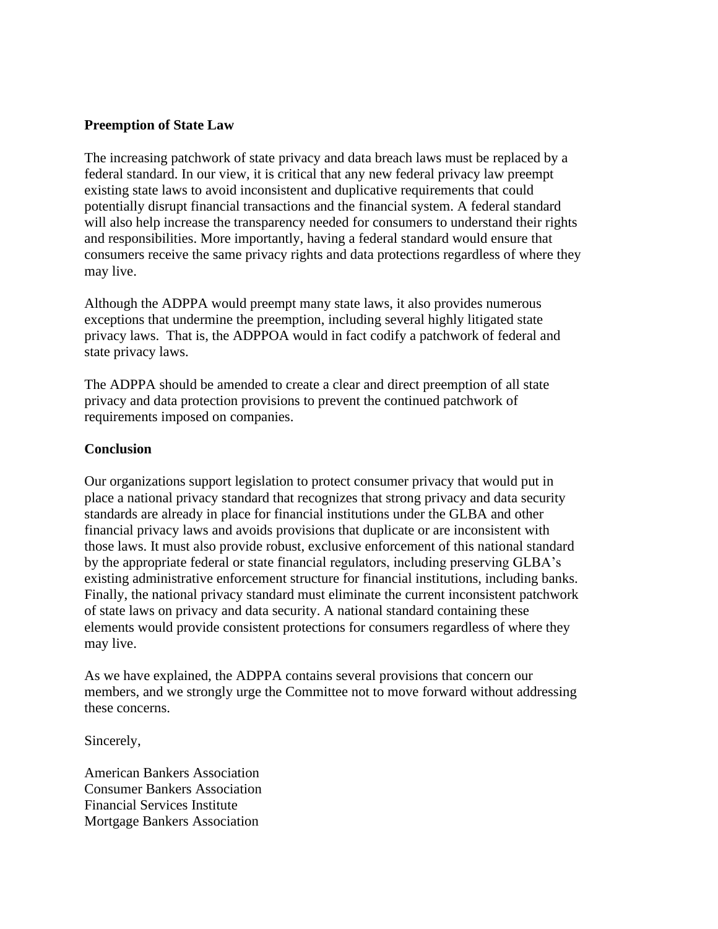## **Preemption of State Law**

The increasing patchwork of state privacy and data breach laws must be replaced by a federal standard. In our view, it is critical that any new federal privacy law preempt existing state laws to avoid inconsistent and duplicative requirements that could potentially disrupt financial transactions and the financial system. A federal standard will also help increase the transparency needed for consumers to understand their rights and responsibilities. More importantly, having a federal standard would ensure that consumers receive the same privacy rights and data protections regardless of where they may live.

Although the ADPPA would preempt many state laws, it also provides numerous exceptions that undermine the preemption, including several highly litigated state privacy laws. That is, the ADPPOA would in fact codify a patchwork of federal and state privacy laws.

The ADPPA should be amended to create a clear and direct preemption of all state privacy and data protection provisions to prevent the continued patchwork of requirements imposed on companies.

## **Conclusion**

Our organizations support legislation to protect consumer privacy that would put in place a national privacy standard that recognizes that strong privacy and data security standards are already in place for financial institutions under the GLBA and other financial privacy laws and avoids provisions that duplicate or are inconsistent with those laws. It must also provide robust, exclusive enforcement of this national standard by the appropriate federal or state financial regulators, including preserving GLBA's existing administrative enforcement structure for financial institutions, including banks. Finally, the national privacy standard must eliminate the current inconsistent patchwork of state laws on privacy and data security. A national standard containing these elements would provide consistent protections for consumers regardless of where they may live.

As we have explained, the ADPPA contains several provisions that concern our members, and we strongly urge the Committee not to move forward without addressing these concerns.

Sincerely,

American Bankers Association Consumer Bankers Association Financial Services Institute Mortgage Bankers Association